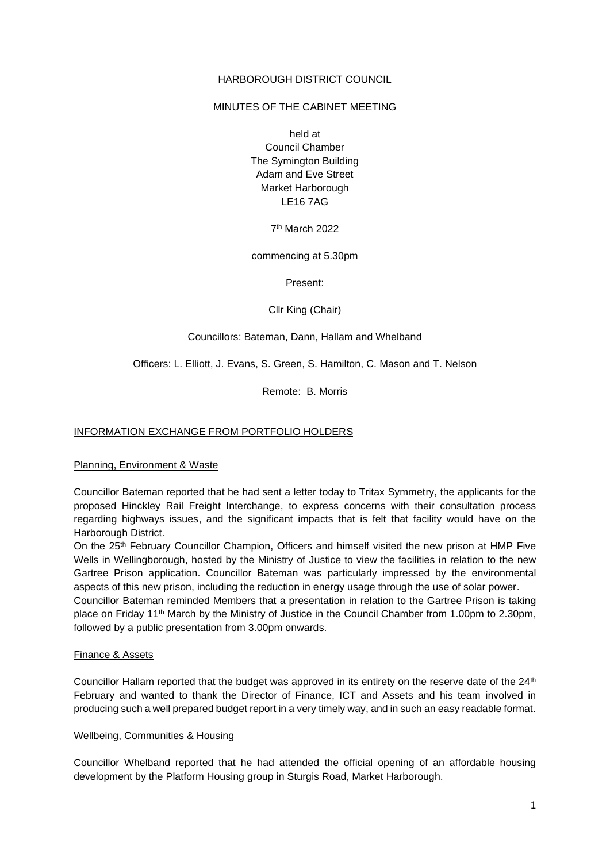## HARBOROUGH DISTRICT COUNCIL

### MINUTES OF THE CABINET MEETING

held at Council Chamber The Symington Building Adam and Eve Street Market Harborough LE16 7AG

7 th March 2022

commencing at 5.30pm

Present:

Cllr King (Chair)

#### Councillors: Bateman, Dann, Hallam and Whelband

Officers: L. Elliott, J. Evans, S. Green, S. Hamilton, C. Mason and T. Nelson

Remote: B. Morris

## INFORMATION EXCHANGE FROM PORTFOLIO HOLDERS

Planning, Environment & Waste

Councillor Bateman reported that he had sent a letter today to Tritax Symmetry, the applicants for the proposed Hinckley Rail Freight Interchange, to express concerns with their consultation process regarding highways issues, and the significant impacts that is felt that facility would have on the Harborough District.

On the 25th February Councillor Champion, Officers and himself visited the new prison at HMP Five Wells in Wellingborough, hosted by the Ministry of Justice to view the facilities in relation to the new Gartree Prison application. Councillor Bateman was particularly impressed by the environmental aspects of this new prison, including the reduction in energy usage through the use of solar power.

Councillor Bateman reminded Members that a presentation in relation to the Gartree Prison is taking place on Friday 11th March by the Ministry of Justice in the Council Chamber from 1.00pm to 2.30pm, followed by a public presentation from 3.00pm onwards.

#### Finance & Assets

Councillor Hallam reported that the budget was approved in its entirety on the reserve date of the  $24<sup>th</sup>$ February and wanted to thank the Director of Finance, ICT and Assets and his team involved in producing such a well prepared budget report in a very timely way, and in such an easy readable format.

#### Wellbeing, Communities & Housing

Councillor Whelband reported that he had attended the official opening of an affordable housing development by the Platform Housing group in Sturgis Road, Market Harborough.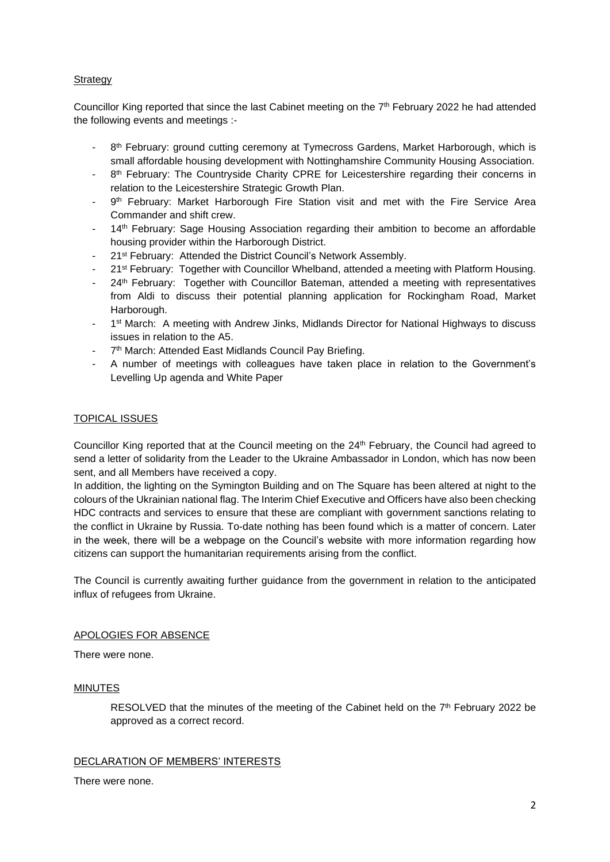# Strategy

Councillor King reported that since the last Cabinet meeting on the 7<sup>th</sup> February 2022 he had attended the following events and meetings :-

- 8<sup>th</sup> February: ground cutting ceremony at Tymecross Gardens, Market Harborough, which is small affordable housing development with Nottinghamshire Community Housing Association.
- 8 8<sup>th</sup> February: The Countryside Charity CPRE for Leicestershire regarding their concerns in relation to the Leicestershire Strategic Growth Plan.
- 9<sup>th</sup> February: Market Harborough Fire Station visit and met with the Fire Service Area Commander and shift crew.
- 14<sup>th</sup> February: Sage Housing Association regarding their ambition to become an affordable housing provider within the Harborough District.
- 21<sup>st</sup> February: Attended the District Council's Network Assembly.
- 21<sup>st</sup> February: Together with Councillor Whelband, attended a meeting with Platform Housing.
- 24<sup>th</sup> February: Together with Councillor Bateman, attended a meeting with representatives from Aldi to discuss their potential planning application for Rockingham Road, Market Harborough.
- <sup>-</sup> 1<sup>st</sup> March: A meeting with Andrew Jinks, Midlands Director for National Highways to discuss issues in relation to the A5.
- 7<sup>th</sup> March: Attended East Midlands Council Pay Briefing.
- A number of meetings with colleagues have taken place in relation to the Government's Levelling Up agenda and White Paper

## TOPICAL ISSUES

Councillor King reported that at the Council meeting on the 24<sup>th</sup> February, the Council had agreed to send a letter of solidarity from the Leader to the Ukraine Ambassador in London, which has now been sent, and all Members have received a copy.

In addition, the lighting on the Symington Building and on The Square has been altered at night to the colours of the Ukrainian national flag. The Interim Chief Executive and Officers have also been checking HDC contracts and services to ensure that these are compliant with government sanctions relating to the conflict in Ukraine by Russia. To-date nothing has been found which is a matter of concern. Later in the week, there will be a webpage on the Council's website with more information regarding how citizens can support the humanitarian requirements arising from the conflict.

The Council is currently awaiting further guidance from the government in relation to the anticipated influx of refugees from Ukraine.

## APOLOGIES FOR ABSENCE

There were none.

#### **MINUTES**

RESOLVED that the minutes of the meeting of the Cabinet held on the  $7<sup>th</sup>$  February 2022 be approved as a correct record.

## DECLARATION OF MEMBERS' INTERESTS

There were none.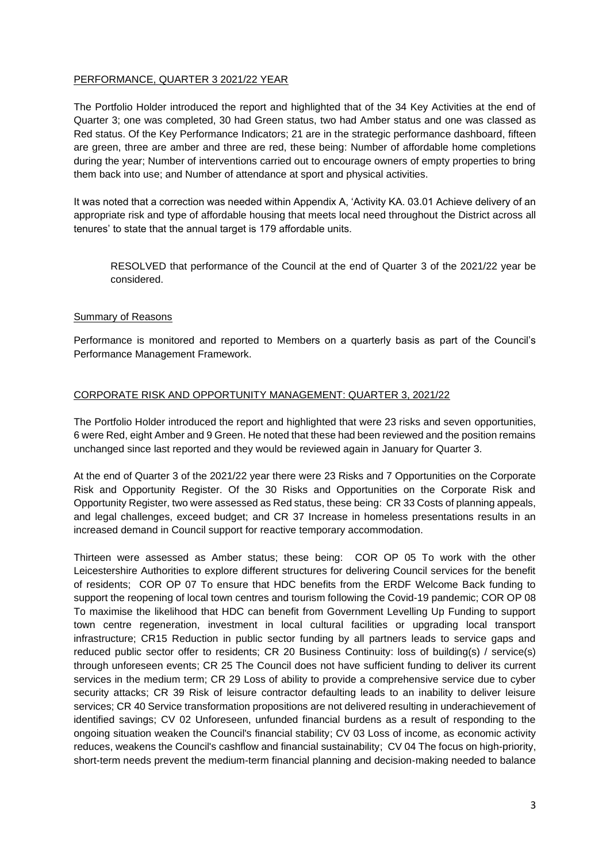### PERFORMANCE, QUARTER 3 2021/22 YEAR

The Portfolio Holder introduced the report and highlighted that of the 34 Key Activities at the end of Quarter 3; one was completed, 30 had Green status, two had Amber status and one was classed as Red status. Of the Key Performance Indicators; 21 are in the strategic performance dashboard, fifteen are green, three are amber and three are red, these being: Number of affordable home completions during the year; Number of interventions carried out to encourage owners of empty properties to bring them back into use; and Number of attendance at sport and physical activities.

It was noted that a correction was needed within Appendix A, 'Activity KA. 03.01 Achieve delivery of an appropriate risk and type of affordable housing that meets local need throughout the District across all tenures' to state that the annual target is 179 affordable units.

RESOLVED that performance of the Council at the end of Quarter 3 of the 2021/22 year be considered.

### Summary of Reasons

Performance is monitored and reported to Members on a quarterly basis as part of the Council's Performance Management Framework.

### CORPORATE RISK AND OPPORTUNITY MANAGEMENT: QUARTER 3, 2021/22

The Portfolio Holder introduced the report and highlighted that were 23 risks and seven opportunities, 6 were Red, eight Amber and 9 Green. He noted that these had been reviewed and the position remains unchanged since last reported and they would be reviewed again in January for Quarter 3.

At the end of Quarter 3 of the 2021/22 year there were 23 Risks and 7 Opportunities on the Corporate Risk and Opportunity Register. Of the 30 Risks and Opportunities on the Corporate Risk and Opportunity Register, two were assessed as Red status, these being: CR 33 Costs of planning appeals, and legal challenges, exceed budget; and CR 37 Increase in homeless presentations results in an increased demand in Council support for reactive temporary accommodation.

Thirteen were assessed as Amber status; these being: COR OP 05 To work with the other Leicestershire Authorities to explore different structures for delivering Council services for the benefit of residents; COR OP 07 To ensure that HDC benefits from the ERDF Welcome Back funding to support the reopening of local town centres and tourism following the Covid-19 pandemic; COR OP 08 To maximise the likelihood that HDC can benefit from Government Levelling Up Funding to support town centre regeneration, investment in local cultural facilities or upgrading local transport infrastructure; CR15 Reduction in public sector funding by all partners leads to service gaps and reduced public sector offer to residents; CR 20 Business Continuity: loss of building(s) / service(s) through unforeseen events; CR 25 The Council does not have sufficient funding to deliver its current services in the medium term; CR 29 Loss of ability to provide a comprehensive service due to cyber security attacks; CR 39 Risk of leisure contractor defaulting leads to an inability to deliver leisure services; CR 40 Service transformation propositions are not delivered resulting in underachievement of identified savings; CV 02 Unforeseen, unfunded financial burdens as a result of responding to the ongoing situation weaken the Council's financial stability; CV 03 Loss of income, as economic activity reduces, weakens the Council's cashflow and financial sustainability; CV 04 The focus on high-priority, short-term needs prevent the medium-term financial planning and decision-making needed to balance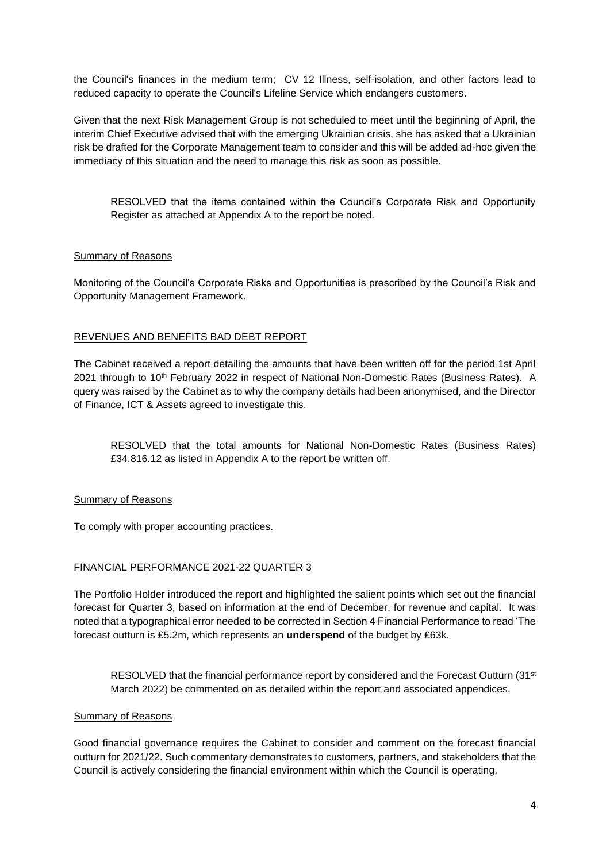the Council's finances in the medium term; CV 12 Illness, self-isolation, and other factors lead to reduced capacity to operate the Council's Lifeline Service which endangers customers.

Given that the next Risk Management Group is not scheduled to meet until the beginning of April, the interim Chief Executive advised that with the emerging Ukrainian crisis, she has asked that a Ukrainian risk be drafted for the Corporate Management team to consider and this will be added ad-hoc given the immediacy of this situation and the need to manage this risk as soon as possible.

RESOLVED that the items contained within the Council's Corporate Risk and Opportunity Register as attached at Appendix A to the report be noted.

### Summary of Reasons

Monitoring of the Council's Corporate Risks and Opportunities is prescribed by the Council's Risk and Opportunity Management Framework.

### REVENUES AND BENEFITS BAD DEBT REPORT

The Cabinet received a report detailing the amounts that have been written off for the period 1st April 2021 through to 10<sup>th</sup> February 2022 in respect of National Non-Domestic Rates (Business Rates). A query was raised by the Cabinet as to why the company details had been anonymised, and the Director of Finance, ICT & Assets agreed to investigate this.

RESOLVED that the total amounts for National Non-Domestic Rates (Business Rates) £34,816.12 as listed in Appendix A to the report be written off.

#### Summary of Reasons

To comply with proper accounting practices.

### FINANCIAL PERFORMANCE 2021-22 QUARTER 3

The Portfolio Holder introduced the report and highlighted the salient points which set out the financial forecast for Quarter 3, based on information at the end of December, for revenue and capital. It was noted that a typographical error needed to be corrected in Section 4 Financial Performance to read 'The forecast outturn is £5.2m, which represents an **underspend** of the budget by £63k.

RESOLVED that the financial performance report by considered and the Forecast Outturn (31<sup>st</sup> March 2022) be commented on as detailed within the report and associated appendices.

### Summary of Reasons

Good financial governance requires the Cabinet to consider and comment on the forecast financial outturn for 2021/22. Such commentary demonstrates to customers, partners, and stakeholders that the Council is actively considering the financial environment within which the Council is operating.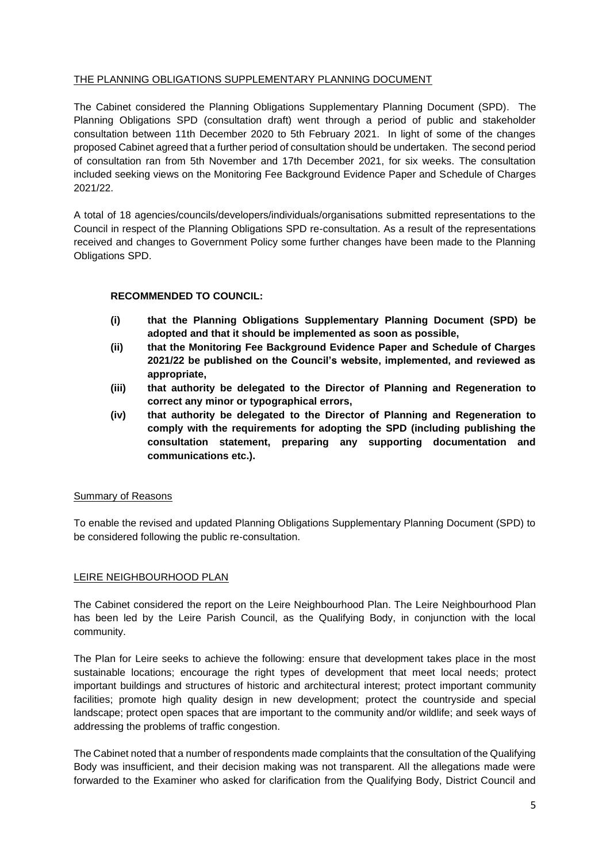## THE PLANNING OBLIGATIONS SUPPLEMENTARY PLANNING DOCUMENT

The Cabinet considered the Planning Obligations Supplementary Planning Document (SPD). The Planning Obligations SPD (consultation draft) went through a period of public and stakeholder consultation between 11th December 2020 to 5th February 2021. In light of some of the changes proposed Cabinet agreed that a further period of consultation should be undertaken. The second period of consultation ran from 5th November and 17th December 2021, for six weeks. The consultation included seeking views on the Monitoring Fee Background Evidence Paper and Schedule of Charges 2021/22.

A total of 18 agencies/councils/developers/individuals/organisations submitted representations to the Council in respect of the Planning Obligations SPD re-consultation. As a result of the representations received and changes to Government Policy some further changes have been made to the Planning Obligations SPD.

# **RECOMMENDED TO COUNCIL:**

- **(i) that the Planning Obligations Supplementary Planning Document (SPD) be adopted and that it should be implemented as soon as possible,**
- **(ii) that the Monitoring Fee Background Evidence Paper and Schedule of Charges 2021/22 be published on the Council's website, implemented, and reviewed as appropriate,**
- **(iii) that authority be delegated to the Director of Planning and Regeneration to correct any minor or typographical errors,**
- **(iv) that authority be delegated to the Director of Planning and Regeneration to comply with the requirements for adopting the SPD (including publishing the consultation statement, preparing any supporting documentation and communications etc.).**

## Summary of Reasons

To enable the revised and updated Planning Obligations Supplementary Planning Document (SPD) to be considered following the public re-consultation.

## LEIRE NEIGHBOURHOOD PLAN

The Cabinet considered the report on the Leire Neighbourhood Plan. The Leire Neighbourhood Plan has been led by the Leire Parish Council, as the Qualifying Body, in conjunction with the local community.

The Plan for Leire seeks to achieve the following: ensure that development takes place in the most sustainable locations; encourage the right types of development that meet local needs; protect important buildings and structures of historic and architectural interest; protect important community facilities; promote high quality design in new development; protect the countryside and special landscape; protect open spaces that are important to the community and/or wildlife; and seek ways of addressing the problems of traffic congestion.

The Cabinet noted that a number of respondents made complaints that the consultation of the Qualifying Body was insufficient, and their decision making was not transparent. All the allegations made were forwarded to the Examiner who asked for clarification from the Qualifying Body, District Council and